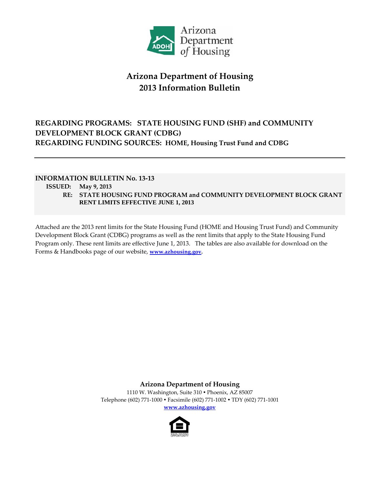

# **Arizona Department of Housing 2013 Information Bulletin**

# **REGARDING PROGRAMS: STATE HOUSING FUND (SHF) and COMMUNITY DEVELOPMENT BLOCK GRANT (CDBG) REGARDING FUNDING SOURCES: HOME, Housing Trust Fund and CDBG**

## **INFORMATION BULLETIN No. 13‐13**

## **ISSUED: May 9, 2013**

**RE: STATE HOUSING FUND PROGRAM and COMMUNITY DEVELOPMENT BLOCK GRANT RENT LIMITS EFFECTIVE JUNE 1, 2013**

Attached are the 2013 rent limits for the State Housing Fund (HOME and Housing Trust Fund) and Community Development Block Grant (CDBG) programs as well as the rent limits that apply to the State Housing Fund Program only. These rent limits are effective June 1, 2013. The tables are also available for download on the Forms & Handbooks page of our website, **www.azhousing.gov.**

> **Arizona Department of Housing** 1110 W. Washington, Suite 310 · Phoenix, AZ 85007 Telephone (602) 771‐1000 Facsimile (602) 771‐1002 TDY (602) 771‐1001

> > **www.azhousing.gov**

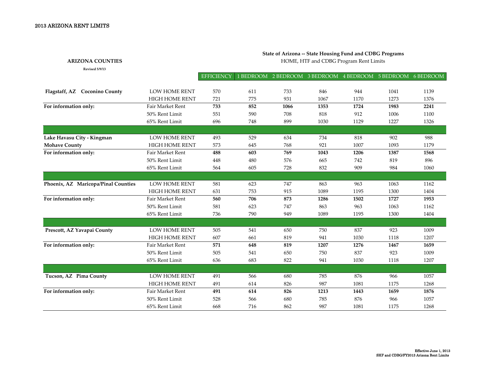### 2013 ARIZONA RENT LIMITS

#### **State of Arizona ‐‐ State Housing Fund and CDBG Programs**

**ARIZONA COUNTIES**

**Revised 5/9/13**

HOME, HTF and CDBG Program Rent Limits

|                                     |                         | EFFICIENCY |     | 1 BEDROOM 2 BEDROOM 3 BEDROOM 4 BEDROOM 5 BEDROOM 6 BEDROOM |      |      |      |      |
|-------------------------------------|-------------------------|------------|-----|-------------------------------------------------------------|------|------|------|------|
|                                     |                         |            |     |                                                             |      |      |      |      |
| Flagstaff, AZ Coconino County       | LOW HOME RENT           | 570        | 611 | 733                                                         | 846  | 944  | 1041 | 1139 |
|                                     | <b>HIGH HOME RENT</b>   | 721        | 775 | 931                                                         | 1067 | 1170 | 1273 | 1376 |
| For information only:               | Fair Market Rent        | 733        | 852 | 1066                                                        | 1353 | 1724 | 1983 | 2241 |
|                                     | 50% Rent Limit          | 551        | 590 | 708                                                         | 818  | 912  | 1006 | 1100 |
|                                     | 65% Rent Limit          | 696        | 748 | 899                                                         | 1030 | 1129 | 1227 | 1326 |
|                                     |                         |            |     |                                                             |      |      |      |      |
| Lake Havasu City - Kingman          | <b>LOW HOME RENT</b>    | 493        | 529 | 634                                                         | 734  | 818  | 902  | 988  |
| <b>Mohave County</b>                | HIGH HOME RENT          | 573        | 645 | 768                                                         | 921  | 1007 | 1093 | 1179 |
| For information only:               | Fair Market Rent        | 488        | 603 | 769                                                         | 1043 | 1206 | 1387 | 1568 |
|                                     | 50% Rent Limit          | 448        | 480 | 576                                                         | 665  | 742  | 819  | 896  |
|                                     | 65% Rent Limit          | 564        | 605 | 728                                                         | 832  | 909  | 984  | 1060 |
|                                     |                         |            |     |                                                             |      |      |      |      |
| Phoenix, AZ Maricopa/Pinal Counties | LOW HOME RENT           | 581        | 623 | 747                                                         | 863  | 963  | 1063 | 1162 |
|                                     | <b>HIGH HOME RENT</b>   | 631        | 753 | 915                                                         | 1089 | 1195 | 1300 | 1404 |
| For information only:               | <b>Fair Market Rent</b> | 560        | 706 | 873                                                         | 1286 | 1502 | 1727 | 1953 |
|                                     | 50% Rent Limit          | 581        | 623 | 747                                                         | 863  | 963  | 1063 | 1162 |
|                                     | 65% Rent Limit          | 736        | 790 | 949                                                         | 1089 | 1195 | 1300 | 1404 |
|                                     |                         |            |     |                                                             |      |      |      |      |
| Prescott, AZ Yavapai County         | <b>LOW HOME RENT</b>    | 505        | 541 | 650                                                         | 750  | 837  | 923  | 1009 |
|                                     | <b>HIGH HOME RENT</b>   | 607        | 661 | 819                                                         | 941  | 1030 | 1118 | 1207 |
| For information only:               | <b>Fair Market Rent</b> | 571        | 648 | 819                                                         | 1207 | 1276 | 1467 | 1659 |
|                                     | 50% Rent Limit          | 505        | 541 | 650                                                         | 750  | 837  | 923  | 1009 |
|                                     | 65% Rent Limit          | 636        | 683 | 822                                                         | 941  | 1030 | 1118 | 1207 |
|                                     |                         |            |     |                                                             |      |      |      |      |
| Tucson, AZ Pima County              | LOW HOME RENT           | 491        | 566 | 680                                                         | 785  | 876  | 966  | 1057 |
|                                     | <b>HIGH HOME RENT</b>   | 491        | 614 | 826                                                         | 987  | 1081 | 1175 | 1268 |
| For information only:               | Fair Market Rent        | 491        | 614 | 826                                                         | 1213 | 1443 | 1659 | 1876 |
|                                     | 50% Rent Limit          | 528        | 566 | 680                                                         | 785  | 876  | 966  | 1057 |
|                                     | 65% Rent Limit          | 668        | 716 | 862                                                         | 987  | 1081 | 1175 | 1268 |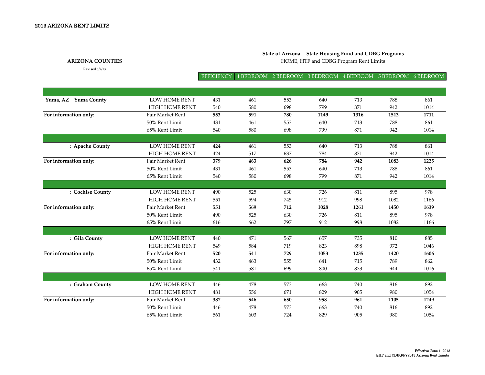### **State of Arizona ‐‐ State Housing Fund and CDBG Programs**

**ARIZONA COUNTIES**

**Revised 5/9/13**

HOME, HTF and CDBG Program Rent Limits

#### EFFICIENCY BEDROOM 2 BEDROOM 3 BEDROOM 4 BEDROOM 5 BEDROOM 6 BEDROOM

| Yuma, AZ Yuma County  | <b>LOW HOME RENT</b>    | 431 | 461 | 553 | 640  | 713  | 788  | 861  |
|-----------------------|-------------------------|-----|-----|-----|------|------|------|------|
|                       | <b>HIGH HOME RENT</b>   | 540 | 580 | 698 | 799  | 871  | 942  | 1014 |
| For information only: | <b>Fair Market Rent</b> | 553 | 591 | 780 | 1149 | 1316 | 1513 | 1711 |
|                       | 50% Rent Limit          | 431 | 461 | 553 | 640  | 713  | 788  | 861  |
|                       | 65% Rent Limit          | 540 | 580 | 698 | 799  | 871  | 942  | 1014 |
|                       |                         |     |     |     |      |      |      |      |
| : Apache County       | <b>LOW HOME RENT</b>    | 424 | 461 | 553 | 640  | 713  | 788  | 861  |
|                       | <b>HIGH HOME RENT</b>   | 424 | 517 | 637 | 784  | 871  | 942  | 1014 |
| For information only: | <b>Fair Market Rent</b> | 379 | 463 | 626 | 784  | 942  | 1083 | 1225 |
|                       | 50% Rent Limit          | 431 | 461 | 553 | 640  | 713  | 788  | 861  |
|                       | 65% Rent Limit          | 540 | 580 | 698 | 799  | 871  | 942  | 1014 |
|                       |                         |     |     |     |      |      |      |      |
| : Cochise County      | LOW HOME RENT           | 490 | 525 | 630 | 726  | 811  | 895  | 978  |
|                       | <b>HIGH HOME RENT</b>   | 551 | 594 | 745 | 912  | 998  | 1082 | 1166 |
| For information only: | <b>Fair Market Rent</b> | 551 | 569 | 712 | 1028 | 1261 | 1450 | 1639 |
|                       | 50% Rent Limit          | 490 | 525 | 630 | 726  | 811  | 895  | 978  |
|                       | 65% Rent Limit          | 616 | 662 | 797 | 912  | 998  | 1082 | 1166 |
|                       |                         |     |     |     |      |      |      |      |
| : Gila County         | <b>LOW HOME RENT</b>    | 440 | 471 | 567 | 657  | 735  | 810  | 885  |
|                       | <b>HIGH HOME RENT</b>   | 549 | 584 | 719 | 823  | 898  | 972  | 1046 |
| For information only: | Fair Market Rent        | 520 | 541 | 729 | 1053 | 1235 | 1420 | 1606 |
|                       | 50% Rent Limit          | 432 | 463 | 555 | 641  | 715  | 789  | 862  |
|                       | 65% Rent Limit          | 541 | 581 | 699 | 800  | 873  | 944  | 1016 |
|                       |                         |     |     |     |      |      |      |      |
| : Graham County       | <b>LOW HOME RENT</b>    | 446 | 478 | 573 | 663  | 740  | 816  | 892  |
|                       | <b>HIGH HOME RENT</b>   | 481 | 556 | 671 | 829  | 905  | 980  | 1054 |
| For information only: | Fair Market Rent        | 387 | 546 | 650 | 958  | 961  | 1105 | 1249 |
|                       | 50% Rent Limit          | 446 | 478 | 573 | 663  | 740  | 816  | 892  |
|                       | 65% Rent Limit          | 561 | 603 | 724 | 829  | 905  | 980  | 1054 |